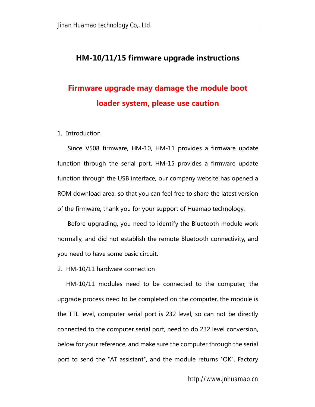# **HM-10/11/15 firmware upgrade instructions**

# **Firmware upgrade may damage the module boot loader system, please use caution**

#### 1. Introduction

Since V508 firmware, HM-10, HM-11 provides a firmware update function through the serial port, HM-15 provides a firmware update function through the USB interface, our company website has opened a ROM download area, so that you can feel free to share the latest version of the firmware, thank you for your support of Huamao technology.

Before upgrading, you need to identify the Bluetooth module work normally, and did not establish the remote Bluetooth connectivity, and you need to have some basic circuit.

2. HM-10/11 hardware connection

HM-10/11 modules need to be connected to the computer, the upgrade process need to be completed on the computer, the module is the TTL level, computer serial port is 232 level, so can not be directly connected to the computer serial port, need to do 232 level conversion, below for your reference, and make sure the computer through the serial port to send the "AT assistant", and the module returns "OK". Factory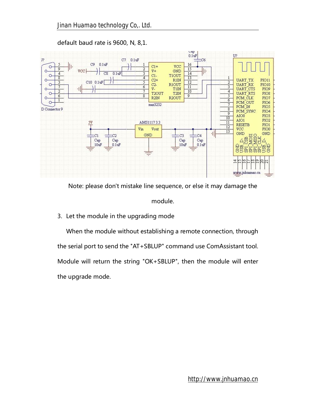

default baud rate is 9600, N, 8,1.

Note: please don't mistake line sequence, or else it may damage the

module.

3. Let the module in the upgrading mode

When the module without establishing a remote connection, through the serial port to send the "AT+SBLUP" command use ComAssistant tool. Module will return the string "OK+SBLUP", then the module will enter the upgrade mode.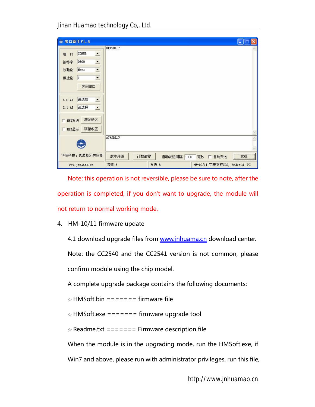| 串口助手V1.5<br>÷                                                                                                                                                                            | a,                                             |  |
|------------------------------------------------------------------------------------------------------------------------------------------------------------------------------------------|------------------------------------------------|--|
| COM58<br>×<br>端<br>$\Box$<br>9600<br>그<br>波特率<br>×<br>校验位<br>None<br>停止位<br>$\blacktriangledown$<br> 1<br>关闭串口<br>请选择<br>4.0 AT<br>$\overline{z}$<br>请选择<br>$\vert \cdot \vert$<br>2.1AT | OK+SBLUP                                       |  |
| 清发送区<br>HEX发送<br>清接收区<br><b>HEX显示</b>                                                                                                                                                    | AT+SBLUP                                       |  |
| 华茂科技,忧质蓝牙供应商                                                                                                                                                                             | 发送<br>版本升级<br>计数清零<br>自动发送间隔 1000<br>毫秒 厂 自动发送 |  |
| www.jnuamao.cn                                                                                                                                                                           | 发送:8<br>接收:8<br>HM-10/11 完美支持IOS, Android, PC  |  |

Note: this operation is not reversible, please be sure to note, after the operation is completed, if you don't want to upgrade, the module will not return to normal working mode.

4. HM-10/11 firmware update

4.1 download upgrade files from [www.jnhuama.cn](http://www.jnhuama.cn) download center.

Note: the CC2540 and the CC2541 version is not common, please

confirm module using the chip model.

A complete upgrade package contains the following documents:

 $\triangle$  HMSoft.bin ======= firmware file

 $\angle$  HMSoft.exe ======= firmware upgrade tool

 $\angle$  Readme.txt ======= Firmware description file

When the module is in the upgrading mode, run the HMSoft.exe, if Win7 and above, please run with administrator privileges, run this file,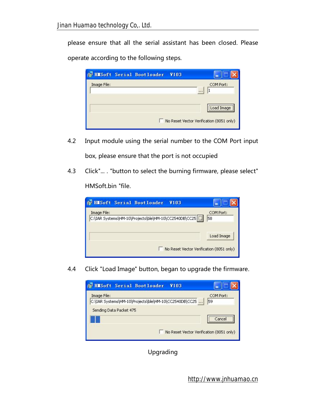please ensure that all the serial assistant has been closed. Please operate according to the following steps.

| <b>Fr</b> HIISoft Serial Bootloader<br><b>V103</b> |                                                        |
|----------------------------------------------------|--------------------------------------------------------|
| Image File:                                        | COM Port:<br>                                          |
|                                                    | Load Image<br>No Reset Vector Verification (8051 only) |

- 4.2 Input module using the serial number to the COM Port input box, please ensure that the port is not occupied
- 4.3 Click"... . "button to select the burning firmware, please select"

HMSoft.bin "file.

| <b>Fr</b> HIISoft Serial Bootloader<br><b>V103</b>                   |                 |
|----------------------------------------------------------------------|-----------------|
| Image File:<br>C:\IAR Systems\HM-10\Projects\ble\HM-10\CC2540DB\CC25 | COM Port:<br>58 |
| No Reset Vector Verification (8051 only)                             | Load Image      |

4.4 Click "Load Image" button, began to upgrade the firmware.



Upgrading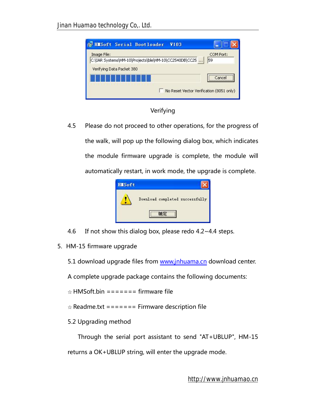| <b>For HMSoft Serial Bootloader</b><br><b>V103</b>                   |                 |
|----------------------------------------------------------------------|-----------------|
| Image File:<br>C:\IAR Systems\HM-10\Projects\ble\HM-10\CC2540DB\CC25 | COM Port:<br>59 |
| Verifying Data Packet 380                                            |                 |
|                                                                      | Cancel          |
| No Reset Vector Verification (8051 only)                             |                 |

### Verifying

4.5 Please do not proceed to other operations, for the progress of the walk, will pop up the following dialog box, which indicates the module firmware upgrade is complete, the module will automatically restart, in work mode, the upgrade is complete.



- 4.6 If not show this dialog box, please redo  $4.2 \times 4.4$  steps.
- 5. HM-15 firmware upgrade

5.1 download upgrade files from [www.jnhuama.cn](http://www.jnhuama.cn) download center.

A complete upgrade package contains the following documents:

 $\triangle$  HMSoft.bin ======= firmware file

 $\angle$  Readme.txt ======= Firmware description file

## 5.2 Upgrading method

Through the serial port assistant to send "AT+UBLUP", HM-15

returns a OK+UBLUP string, will enter the upgrade mode.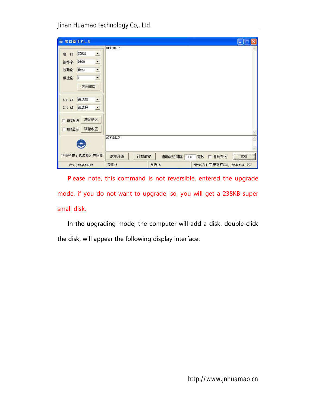| 串口助手V1.5<br>÷                                                                                                                                                                   |                                               | $\Box$ e |
|---------------------------------------------------------------------------------------------------------------------------------------------------------------------------------|-----------------------------------------------|----------|
| COM21<br>$\blacksquare$<br>端<br>$\square$<br>9600<br>그<br>波特率<br>$\blacksquare$<br>None<br>校验位<br>停止位<br>$\blacktriangledown$<br> 1 <br>关闭串口<br>请选择<br>$\blacksquare$<br>4.0 AT | OK+UBLUP                                      |          |
| 请选择<br>그<br>2.1 AT<br>清发送区<br>HEX发送<br>清接收区<br><b>HEX显示</b>                                                                                                                     |                                               |          |
|                                                                                                                                                                                 | AT+UBLUP                                      |          |
| 华茂科技, 忧质蓝牙供应商                                                                                                                                                                   | 版本升级<br>计数清零<br>自动发送间隔 1000<br>毫秒 厂 自动发送      | 发送       |
| www.jnuamao.cn                                                                                                                                                                  | 发送:8<br>接收:8<br>HM-10/11 完美支持IOS, Android, PC |          |

Please note, this command is not reversible, entered the upgrade mode, if you do not want to upgrade, so, you will get a 238KB super small disk.

In the upgrading mode, the computer will add a disk, double-click the disk, will appear the following display interface: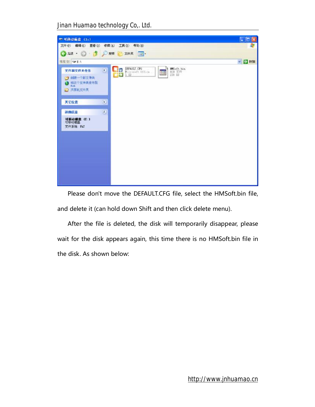*Jinan Huamao technology Co,. Ltd.* 

| = 可移动磁盘 (I:)                                              |                                                                                          | $\Box$ ok |
|-----------------------------------------------------------|------------------------------------------------------------------------------------------|-----------|
|                                                           | 文件(F) 编辑(E) 查看(V) 收藏(A) 工具(E) 帮助(M)                                                      |           |
|                                                           | ● BI · ◎ ● ● D RE B ZIHK   田·                                                            |           |
| 地址(B) → I:\                                               |                                                                                          | ッ 日 神話    |
| 文件和文件夹任务<br>7 创建一个新文件夹<br>● 格这个文件夹发布到<br>Fab.<br>2 共享此文件実 | DEFAULT. CFG<br>MSoft.bin<br><b>HE</b><br>$\mathbf{z}$<br>囲<br>Microsoft Office<br>238 四 |           |
| 其它位置                                                      | $\mathfrak{S}$                                                                           |           |
| 洋细信息                                                      | $\hat{\mathbf{z}}$                                                                       |           |
| 可移动磁盘 (T:)<br>可移动磁盘<br>变件系统: FAT                          |                                                                                          |           |
|                                                           |                                                                                          |           |
|                                                           |                                                                                          |           |
|                                                           |                                                                                          |           |
|                                                           |                                                                                          |           |
|                                                           |                                                                                          |           |
|                                                           |                                                                                          |           |
|                                                           |                                                                                          |           |

Please don't move the DEFAULT.CFG file, select the HMSoft.bin file, and delete it (can hold down Shift and then click delete menu).

After the file is deleted, the disk will temporarily disappear, please wait for the disk appears again, this time there is no HMSoft.bin file in the disk. As shown below: